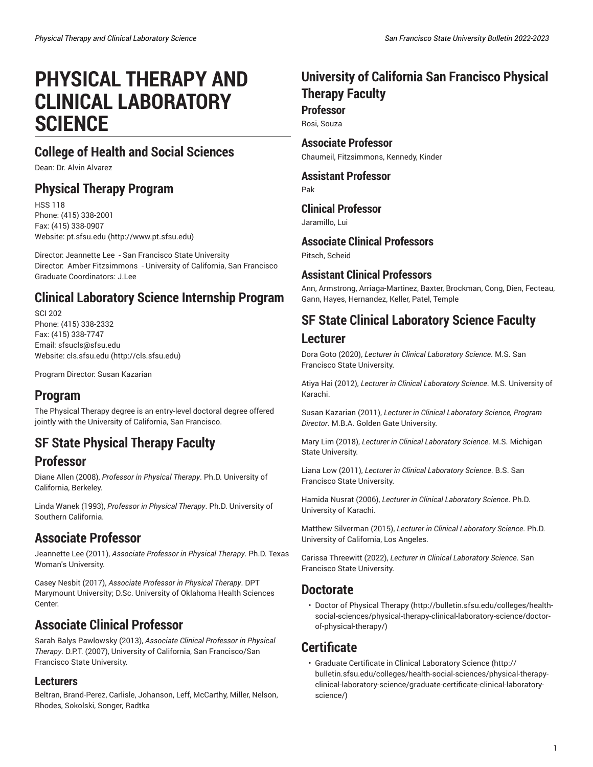# **PHYSICAL THERAPY AND CLINICAL LABORATORY SCIENCE**

# **College of Health and Social Sciences**

Dean: Dr. Alvin Alvarez

### **Physical Therapy Program**

HSS 118 Phone: (415) 338-2001 Fax: (415) 338-0907 Website: [pt.sfsu.edu](http://www.pt.sfsu.edu) [\(http://www.pt.sfsu.edu\)](http://www.pt.sfsu.edu)

Director: Jeannette Lee - San Francisco State University Director: Amber Fitzsimmons - University of California, San Francisco Graduate Coordinators: J.Lee

# **Clinical Laboratory Science Internship Program**

SCI 202 Phone: (415) 338-2332 Fax: (415) 338-7747 Email: [sfsucls@sfsu.edu](mailto:sfsucls@sfsu.edu) Website: [cls.sfsu.edu \(http://cls.sfsu.edu](http://cls.sfsu.edu))

Program Director: Susan Kazarian

# **Program**

The Physical Therapy degree is an entry-level doctoral degree offered jointly with the University of California, San Francisco.

# **SF State Physical Therapy Faculty**

### **Professor**

Diane Allen (2008), *Professor in Physical Therapy*. Ph.D. University of California, Berkeley.

Linda Wanek (1993), *Professor in Physical Therapy*. Ph.D. University of Southern California.

### **Associate Professor**

Jeannette Lee (2011), *Associate Professor in Physical Therapy*. Ph.D. Texas Woman's University.

Casey Nesbit (2017), *Associate Professor in Physical Therapy*. DPT Marymount University; D.Sc. University of Oklahoma Health Sciences Center.

# **Associate Clinical Professor**

Sarah Balys Pawlowsky (2013), *Associate Clinical Professor in Physical Therapy*. D.P.T. (2007), University of California, San Francisco/San Francisco State University.

### **Lecturers**

Beltran, Brand-Perez, Carlisle, Johanson, Leff, McCarthy, Miller, Nelson, Rhodes, Sokolski, Songer, Radtka

# **University of California San Francisco Physical Therapy Faculty**

**Professor** Rosi, Souza

**Associate Professor** Chaumeil, Fitzsimmons, Kennedy, Kinder

**Assistant Professor** Pak

**Clinical Professor**

Jaramillo, Lui

**Associate Clinical Professors**

Pitsch, Scheid

### **Assistant Clinical Professors**

Ann, Armstrong, Arriaga-Martinez, Baxter, Brockman, Cong, Dien, Fecteau, Gann, Hayes, Hernandez, Keller, Patel, Temple

## **SF State Clinical Laboratory Science Faculty**

### **Lecturer**

Dora Goto (2020), *Lecturer in Clinical Laboratory Science*. M.S. San Francisco State University.

Atiya Hai (2012), *Lecturer in Clinical Laboratory Science*. M.S. University of Karachi.

Susan Kazarian (2011), *Lecturer in Clinical Laboratory Science, Program Director*. M.B.A. Golden Gate University.

Mary Lim (2018), *Lecturer in Clinical Laboratory Science*. M.S. Michigan State University.

Liana Low (2011), *Lecturer in Clinical Laboratory Science*. B.S. San Francisco State University.

Hamida Nusrat (2006), *Lecturer in Clinical Laboratory Science*. Ph.D. University of Karachi.

Matthew Silverman (2015), *Lecturer in Clinical Laboratory Science*. Ph.D. University of California, Los Angeles.

Carissa Threewitt (2022), *Lecturer in Clinical Laboratory Science*. San Francisco State University.

### **Doctorate**

• Doctor of [Physical](http://bulletin.sfsu.edu/colleges/health-social-sciences/physical-therapy-clinical-laboratory-science/doctor-of-physical-therapy/) Therapy ([http://bulletin.sfsu.edu/colleges/health](http://bulletin.sfsu.edu/colleges/health-social-sciences/physical-therapy-clinical-laboratory-science/doctor-of-physical-therapy/)[social-sciences/physical-therapy-clinical-laboratory-science/doctor](http://bulletin.sfsu.edu/colleges/health-social-sciences/physical-therapy-clinical-laboratory-science/doctor-of-physical-therapy/)[of-physical-therapy/](http://bulletin.sfsu.edu/colleges/health-social-sciences/physical-therapy-clinical-laboratory-science/doctor-of-physical-therapy/))

### **Certificate**

• Graduate Certificate in Clinical [Laboratory](http://bulletin.sfsu.edu/colleges/health-social-sciences/physical-therapy-clinical-laboratory-science/graduate-certificate-clinical-laboratory-science/) Science [\(http://](http://bulletin.sfsu.edu/colleges/health-social-sciences/physical-therapy-clinical-laboratory-science/graduate-certificate-clinical-laboratory-science/) [bulletin.sfsu.edu/colleges/health-social-sciences/physical-therapy](http://bulletin.sfsu.edu/colleges/health-social-sciences/physical-therapy-clinical-laboratory-science/graduate-certificate-clinical-laboratory-science/)[clinical-laboratory-science/graduate-certificate-clinical-laboratory](http://bulletin.sfsu.edu/colleges/health-social-sciences/physical-therapy-clinical-laboratory-science/graduate-certificate-clinical-laboratory-science/)[science/](http://bulletin.sfsu.edu/colleges/health-social-sciences/physical-therapy-clinical-laboratory-science/graduate-certificate-clinical-laboratory-science/))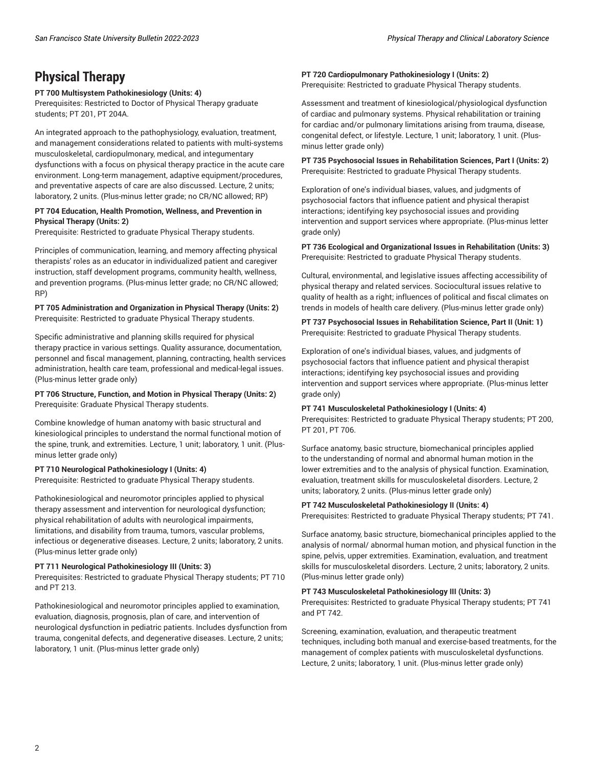### **Physical Therapy**

#### **PT 700 Multisystem Pathokinesiology (Units: 4)**

Prerequisites: Restricted to Doctor of Physical Therapy graduate students; PT 201, PT 204A.

An integrated approach to the pathophysiology, evaluation, treatment, and management considerations related to patients with multi-systems musculoskeletal, cardiopulmonary, medical, and integumentary dysfunctions with a focus on physical therapy practice in the acute care environment. Long-term management, adaptive equipment/procedures, and preventative aspects of care are also discussed. Lecture, 2 units; laboratory, 2 units. (Plus-minus letter grade; no CR/NC allowed; RP)

#### **PT 704 Education, Health Promotion, Wellness, and Prevention in Physical Therapy (Units: 2)**

Prerequisite: Restricted to graduate Physical Therapy students.

Principles of communication, learning, and memory affecting physical therapists' roles as an educator in individualized patient and caregiver instruction, staff development programs, community health, wellness, and prevention programs. (Plus-minus letter grade; no CR/NC allowed; RP)

**PT 705 Administration and Organization in Physical Therapy (Units: 2)** Prerequisite: Restricted to graduate Physical Therapy students.

Specific administrative and planning skills required for physical therapy practice in various settings. Quality assurance, documentation, personnel and fiscal management, planning, contracting, health services administration, health care team, professional and medical-legal issues. (Plus-minus letter grade only)

#### **PT 706 Structure, Function, and Motion in Physical Therapy (Units: 2)** Prerequisite: Graduate Physical Therapy students.

Combine knowledge of human anatomy with basic structural and kinesiological principles to understand the normal functional motion of the spine, trunk, and extremities. Lecture, 1 unit; laboratory, 1 unit. (Plusminus letter grade only)

#### **PT 710 Neurological Pathokinesiology I (Units: 4)**

Prerequisite: Restricted to graduate Physical Therapy students.

Pathokinesiological and neuromotor principles applied to physical therapy assessment and intervention for neurological dysfunction; physical rehabilitation of adults with neurological impairments, limitations, and disability from trauma, tumors, vascular problems, infectious or degenerative diseases. Lecture, 2 units; laboratory, 2 units. (Plus-minus letter grade only)

#### **PT 711 Neurological Pathokinesiology III (Units: 3)**

Prerequisites: Restricted to graduate Physical Therapy students; PT 710 and PT 213.

Pathokinesiological and neuromotor principles applied to examination, evaluation, diagnosis, prognosis, plan of care, and intervention of neurological dysfunction in pediatric patients. Includes dysfunction from trauma, congenital defects, and degenerative diseases. Lecture, 2 units; laboratory, 1 unit. (Plus-minus letter grade only)

#### **PT 720 Cardiopulmonary Pathokinesiology I (Units: 2)** Prerequisite: Restricted to graduate Physical Therapy students.

Assessment and treatment of kinesiological/physiological dysfunction of cardiac and pulmonary systems. Physical rehabilitation or training for cardiac and/or pulmonary limitations arising from trauma, disease, congenital defect, or lifestyle. Lecture, 1 unit; laboratory, 1 unit. (Plusminus letter grade only)

**PT 735 Psychosocial Issues in Rehabilitation Sciences, Part I (Units: 2)** Prerequisite: Restricted to graduate Physical Therapy students.

Exploration of one's individual biases, values, and judgments of psychosocial factors that influence patient and physical therapist interactions; identifying key psychosocial issues and providing intervention and support services where appropriate. (Plus-minus letter grade only)

#### **PT 736 Ecological and Organizational Issues in Rehabilitation (Units: 3)** Prerequisite: Restricted to graduate Physical Therapy students.

Cultural, environmental, and legislative issues affecting accessibility of physical therapy and related services. Sociocultural issues relative to quality of health as a right; influences of political and fiscal climates on trends in models of health care delivery. (Plus-minus letter grade only)

**PT 737 Psychosocial Issues in Rehabilitation Science, Part II (Unit: 1)** Prerequisite: Restricted to graduate Physical Therapy students.

Exploration of one's individual biases, values, and judgments of psychosocial factors that influence patient and physical therapist interactions; identifying key psychosocial issues and providing intervention and support services where appropriate. (Plus-minus letter grade only)

#### **PT 741 Musculoskeletal Pathokinesiology I (Units: 4)**

Prerequisites: Restricted to graduate Physical Therapy students; PT 200, PT 201, PT 706.

Surface anatomy, basic structure, biomechanical principles applied to the understanding of normal and abnormal human motion in the lower extremities and to the analysis of physical function. Examination, evaluation, treatment skills for musculoskeletal disorders. Lecture, 2 units; laboratory, 2 units. (Plus-minus letter grade only)

#### **PT 742 Musculoskeletal Pathokinesiology II (Units: 4)**

Prerequisites: Restricted to graduate Physical Therapy students; PT 741.

Surface anatomy, basic structure, biomechanical principles applied to the analysis of normal/ abnormal human motion, and physical function in the spine, pelvis, upper extremities. Examination, evaluation, and treatment skills for musculoskeletal disorders. Lecture, 2 units; laboratory, 2 units. (Plus-minus letter grade only)

#### **PT 743 Musculoskeletal Pathokinesiology III (Units: 3)**

Prerequisites: Restricted to graduate Physical Therapy students; PT 741 and PT 742.

Screening, examination, evaluation, and therapeutic treatment techniques, including both manual and exercise-based treatments, for the management of complex patients with musculoskeletal dysfunctions. Lecture, 2 units; laboratory, 1 unit. (Plus-minus letter grade only)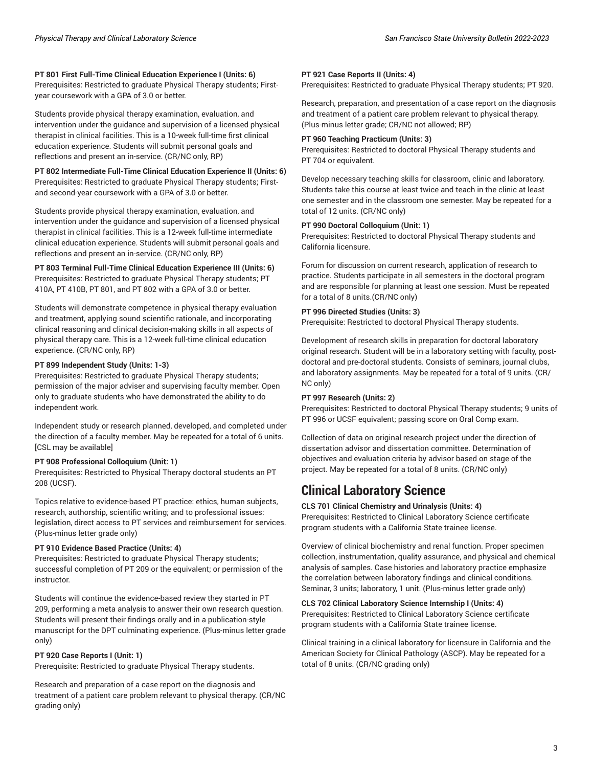#### **PT 801 First Full-Time Clinical Education Experience I (Units: 6)**

Prerequisites: Restricted to graduate Physical Therapy students; Firstyear coursework with a GPA of 3.0 or better.

Students provide physical therapy examination, evaluation, and intervention under the guidance and supervision of a licensed physical therapist in clinical facilities. This is a 10-week full-time first clinical education experience. Students will submit personal goals and reflections and present an in-service. (CR/NC only, RP)

#### **PT 802 Intermediate Full-Time Clinical Education Experience II (Units: 6)** Prerequisites: Restricted to graduate Physical Therapy students; Firstand second-year coursework with a GPA of 3.0 or better.

Students provide physical therapy examination, evaluation, and intervention under the guidance and supervision of a licensed physical therapist in clinical facilities. This is a 12-week full-time intermediate clinical education experience. Students will submit personal goals and reflections and present an in-service. (CR/NC only, RP)

#### **PT 803 Terminal Full-Time Clinical Education Experience III (Units: 6)** Prerequisites: Restricted to graduate Physical Therapy students; PT 410A, PT 410B, PT 801, and PT 802 with a GPA of 3.0 or better.

Students will demonstrate competence in physical therapy evaluation and treatment, applying sound scientific rationale, and incorporating clinical reasoning and clinical decision-making skills in all aspects of physical therapy care. This is a 12-week full-time clinical education experience. (CR/NC only, RP)

#### **PT 899 Independent Study (Units: 1-3)**

Prerequisites: Restricted to graduate Physical Therapy students; permission of the major adviser and supervising faculty member. Open only to graduate students who have demonstrated the ability to do independent work.

Independent study or research planned, developed, and completed under the direction of a faculty member. May be repeated for a total of 6 units. [CSL may be available]

#### **PT 908 Professional Colloquium (Unit: 1)**

Prerequisites: Restricted to Physical Therapy doctoral students an PT 208 (UCSF).

Topics relative to evidence-based PT practice: ethics, human subjects, research, authorship, scientific writing; and to professional issues: legislation, direct access to PT services and reimbursement for services. (Plus-minus letter grade only)

#### **PT 910 Evidence Based Practice (Units: 4)**

Prerequisites: Restricted to graduate Physical Therapy students; successful completion of PT 209 or the equivalent; or permission of the instructor.

Students will continue the evidence-based review they started in PT 209, performing a meta analysis to answer their own research question. Students will present their findings orally and in a publication-style manuscript for the DPT culminating experience. (Plus-minus letter grade only)

#### **PT 920 Case Reports I (Unit: 1)**

Prerequisite: Restricted to graduate Physical Therapy students.

Research and preparation of a case report on the diagnosis and treatment of a patient care problem relevant to physical therapy. (CR/NC grading only)

#### **PT 921 Case Reports II (Units: 4)**

Prerequisites: Restricted to graduate Physical Therapy students; PT 920.

Research, preparation, and presentation of a case report on the diagnosis and treatment of a patient care problem relevant to physical therapy. (Plus-minus letter grade; CR/NC not allowed; RP)

#### **PT 960 Teaching Practicum (Units: 3)**

Prerequisites: Restricted to doctoral Physical Therapy students and PT 704 or equivalent.

Develop necessary teaching skills for classroom, clinic and laboratory. Students take this course at least twice and teach in the clinic at least one semester and in the classroom one semester. May be repeated for a total of 12 units. (CR/NC only)

#### **PT 990 Doctoral Colloquium (Unit: 1)**

Prerequisites: Restricted to doctoral Physical Therapy students and California licensure.

Forum for discussion on current research, application of research to practice. Students participate in all semesters in the doctoral program and are responsible for planning at least one session. Must be repeated for a total of 8 units.(CR/NC only)

#### **PT 996 Directed Studies (Units: 3)**

Prerequisite: Restricted to doctoral Physical Therapy students.

Development of research skills in preparation for doctoral laboratory original research. Student will be in a laboratory setting with faculty, postdoctoral and pre-doctoral students. Consists of seminars, journal clubs, and laboratory assignments. May be repeated for a total of 9 units. (CR/ NC only)

#### **PT 997 Research (Units: 2)**

Prerequisites: Restricted to doctoral Physical Therapy students; 9 units of PT 996 or UCSF equivalent; passing score on Oral Comp exam.

Collection of data on original research project under the direction of dissertation advisor and dissertation committee. Determination of objectives and evaluation criteria by advisor based on stage of the project. May be repeated for a total of 8 units. (CR/NC only)

### **Clinical Laboratory Science**

#### **CLS 701 Clinical Chemistry and Urinalysis (Units: 4)**

Prerequisites: Restricted to Clinical Laboratory Science certificate program students with a California State trainee license.

Overview of clinical biochemistry and renal function. Proper specimen collection, instrumentation, quality assurance, and physical and chemical analysis of samples. Case histories and laboratory practice emphasize the correlation between laboratory findings and clinical conditions. Seminar, 3 units; laboratory, 1 unit. (Plus-minus letter grade only)

#### **CLS 702 Clinical Laboratory Science Internship I (Units: 4)**

Prerequisites: Restricted to Clinical Laboratory Science certificate program students with a California State trainee license.

Clinical training in a clinical laboratory for licensure in California and the American Society for Clinical Pathology (ASCP). May be repeated for a total of 8 units. (CR/NC grading only)